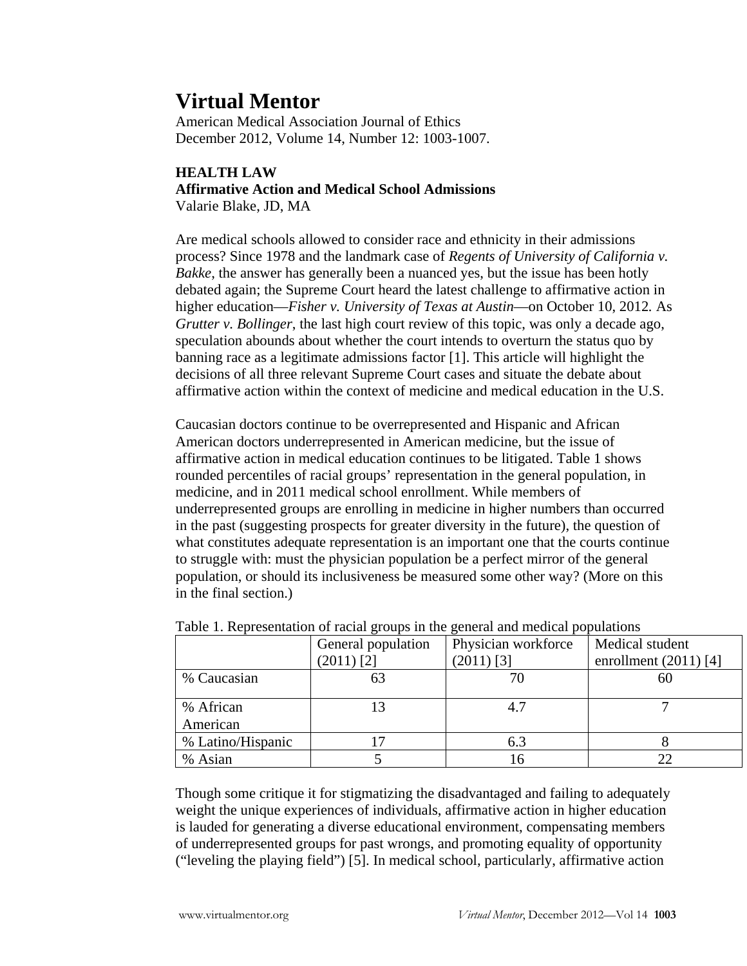# **Virtual Mentor**

American Medical Association Journal of Ethics December 2012, Volume 14, Number 12: 1003-1007.

## **HEALTH LAW Affirmative Action and Medical School Admissions**  Valarie Blake, JD, MA

Are medical schools allowed to consider race and ethnicity in their admissions process? Since 1978 and the landmark case of *Regents of University of California v. Bakke*, the answer has generally been a nuanced yes, but the issue has been hotly debated again; the Supreme Court heard the latest challenge to affirmative action in higher education—*Fisher v. University of Texas at Austin*—on October 10, 2012*.* As *Grutter v. Bollinger*, the last high court review of this topic, was only a decade ago, speculation abounds about whether the court intends to overturn the status quo by banning race as a legitimate admissions factor [1]. This article will highlight the decisions of all three relevant Supreme Court cases and situate the debate about affirmative action within the context of medicine and medical education in the U.S.

Caucasian doctors continue to be overrepresented and Hispanic and African American doctors underrepresented in American medicine, but the issue of affirmative action in medical education continues to be litigated. Table 1 shows rounded percentiles of racial groups' representation in the general population, in medicine, and in 2011 medical school enrollment. While members of underrepresented groups are enrolling in medicine in higher numbers than occurred in the past (suggesting prospects for greater diversity in the future), the question of what constitutes adequate representation is an important one that the courts continue to struggle with: must the physician population be a perfect mirror of the general population, or should its inclusiveness be measured some other way? (More on this in the final section.)

|                   | General population | Physician workforce | Medical student         |  |
|-------------------|--------------------|---------------------|-------------------------|--|
|                   | $(2011)$ [2]       | $(2011)$ [3]        | enrollment $(2011)$ [4] |  |
| % Caucasian       | 63                 |                     | 60                      |  |
| % African         |                    |                     |                         |  |
| American          |                    |                     |                         |  |
| % Latino/Hispanic |                    | 6.3                 |                         |  |
| % Asian           |                    |                     |                         |  |

| Table 1. Representation of racial groups in the general and medical populations |  |  |
|---------------------------------------------------------------------------------|--|--|
|                                                                                 |  |  |

Though some critique it for stigmatizing the disadvantaged and failing to adequately weight the unique experiences of individuals, affirmative action in higher education is lauded for generating a diverse educational environment, compensating members of underrepresented groups for past wrongs, and promoting equality of opportunity ("leveling the playing field") [5]. In medical school, particularly, affirmative action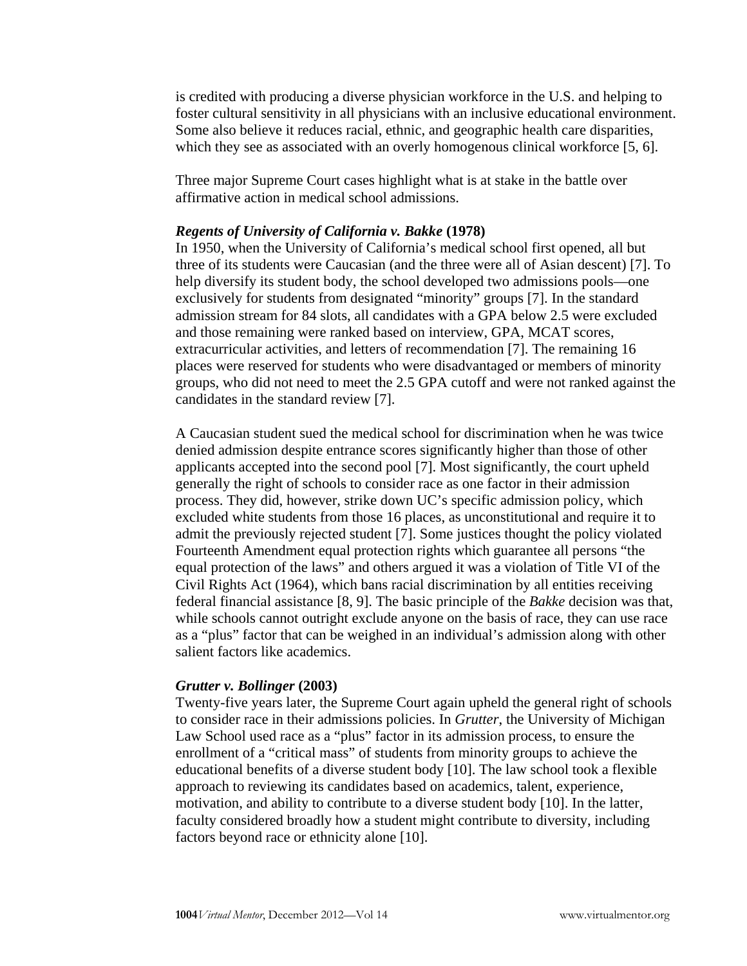is credited with producing a diverse physician workforce in the U.S. and helping to foster cultural sensitivity in all physicians with an inclusive educational environment. Some also believe it reduces racial, ethnic, and geographic health care disparities, which they see as associated with an overly homogenous clinical workforce [5, 6].

Three major Supreme Court cases highlight what is at stake in the battle over affirmative action in medical school admissions.

### *Regents of University of California v. Bakke* **(1978)**

In 1950, when the University of California's medical school first opened, all but three of its students were Caucasian (and the three were all of Asian descent) [7]. To help diversify its student body, the school developed two admissions pools—one exclusively for students from designated "minority" groups [7]. In the standard admission stream for 84 slots, all candidates with a GPA below 2.5 were excluded and those remaining were ranked based on interview, GPA, MCAT scores, extracurricular activities, and letters of recommendation [7]. The remaining 16 places were reserved for students who were disadvantaged or members of minority groups, who did not need to meet the 2.5 GPA cutoff and were not ranked against the candidates in the standard review [7].

A Caucasian student sued the medical school for discrimination when he was twice denied admission despite entrance scores significantly higher than those of other applicants accepted into the second pool [7]. Most significantly, the court upheld generally the right of schools to consider race as one factor in their admission process. They did, however, strike down UC's specific admission policy, which excluded white students from those 16 places, as unconstitutional and require it to admit the previously rejected student [7]. Some justices thought the policy violated Fourteenth Amendment equal protection rights which guarantee all persons "the equal protection of the laws" and others argued it was a violation of Title VI of the Civil Rights Act (1964), which bans racial discrimination by all entities receiving federal financial assistance [8, 9]. The basic principle of the *Bakke* decision was that, while schools cannot outright exclude anyone on the basis of race, they can use race as a "plus" factor that can be weighed in an individual's admission along with other salient factors like academics.

#### *Grutter v. Bollinger* **(2003)**

Twenty-five years later, the Supreme Court again upheld the general right of schools to consider race in their admissions policies. In *Grutter*, the University of Michigan Law School used race as a "plus" factor in its admission process, to ensure the enrollment of a "critical mass" of students from minority groups to achieve the educational benefits of a diverse student body [10]. The law school took a flexible approach to reviewing its candidates based on academics, talent, experience, motivation, and ability to contribute to a diverse student body [10]. In the latter, faculty considered broadly how a student might contribute to diversity, including factors beyond race or ethnicity alone [10].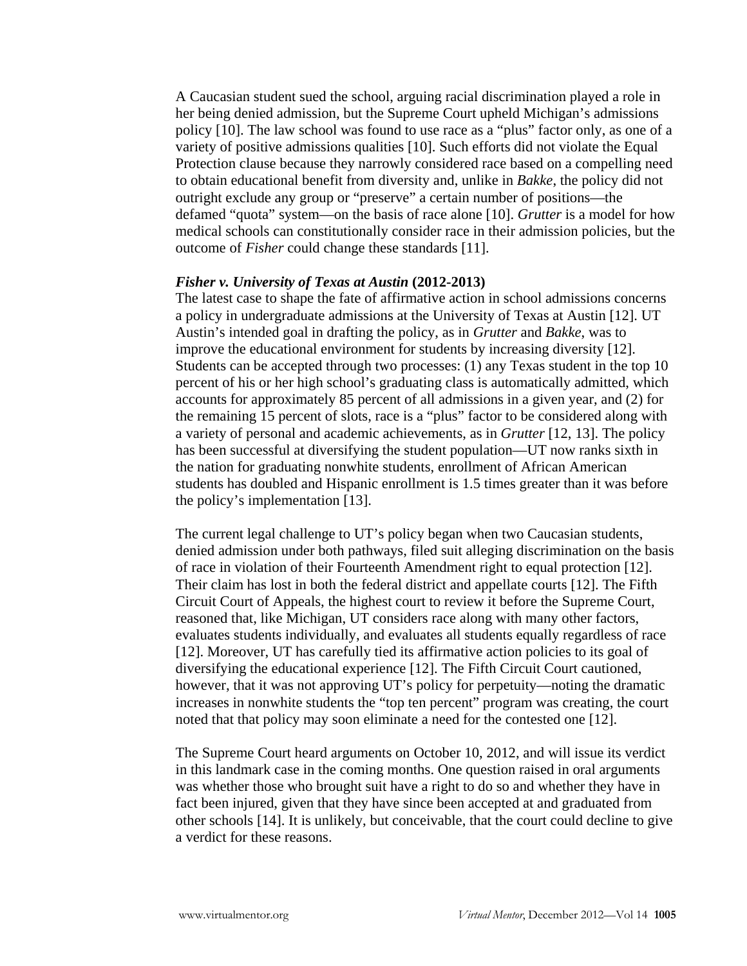A Caucasian student sued the school, arguing racial discrimination played a role in her being denied admission, but the Supreme Court upheld Michigan's admissions policy [10]. The law school was found to use race as a "plus" factor only, as one of a variety of positive admissions qualities [10]. Such efforts did not violate the Equal Protection clause because they narrowly considered race based on a compelling need to obtain educational benefit from diversity and, unlike in *Bakke*, the policy did not outright exclude any group or "preserve" a certain number of positions—the defamed "quota" system—on the basis of race alone [10]. *Grutter* is a model for how medical schools can constitutionally consider race in their admission policies, but the outcome of *Fisher* could change these standards [11].

### *Fisher v. University of Texas at Austin* **(2012-2013)**

The latest case to shape the fate of affirmative action in school admissions concerns a policy in undergraduate admissions at the University of Texas at Austin [12]. UT Austin's intended goal in drafting the policy, as in *Grutter* and *Bakke*, was to improve the educational environment for students by increasing diversity [12]. Students can be accepted through two processes: (1) any Texas student in the top 10 percent of his or her high school's graduating class is automatically admitted, which accounts for approximately 85 percent of all admissions in a given year, and (2) for the remaining 15 percent of slots, race is a "plus" factor to be considered along with a variety of personal and academic achievements, as in *Grutter* [12, 13]. The policy has been successful at diversifying the student population—UT now ranks sixth in the nation for graduating nonwhite students, enrollment of African American students has doubled and Hispanic enrollment is 1.5 times greater than it was before the policy's implementation [13].

The current legal challenge to UT's policy began when two Caucasian students, denied admission under both pathways, filed suit alleging discrimination on the basis of race in violation of their Fourteenth Amendment right to equal protection [12]. Their claim has lost in both the federal district and appellate courts [12]. The Fifth Circuit Court of Appeals, the highest court to review it before the Supreme Court, reasoned that, like Michigan, UT considers race along with many other factors, evaluates students individually, and evaluates all students equally regardless of race [12]. Moreover, UT has carefully tied its affirmative action policies to its goal of diversifying the educational experience [12]. The Fifth Circuit Court cautioned, however, that it was not approving UT's policy for perpetuity—noting the dramatic increases in nonwhite students the "top ten percent" program was creating, the court noted that that policy may soon eliminate a need for the contested one [12].

The Supreme Court heard arguments on October 10, 2012, and will issue its verdict in this landmark case in the coming months. One question raised in oral arguments was whether those who brought suit have a right to do so and whether they have in fact been injured, given that they have since been accepted at and graduated from other schools [14]. It is unlikely, but conceivable, that the court could decline to give a verdict for these reasons.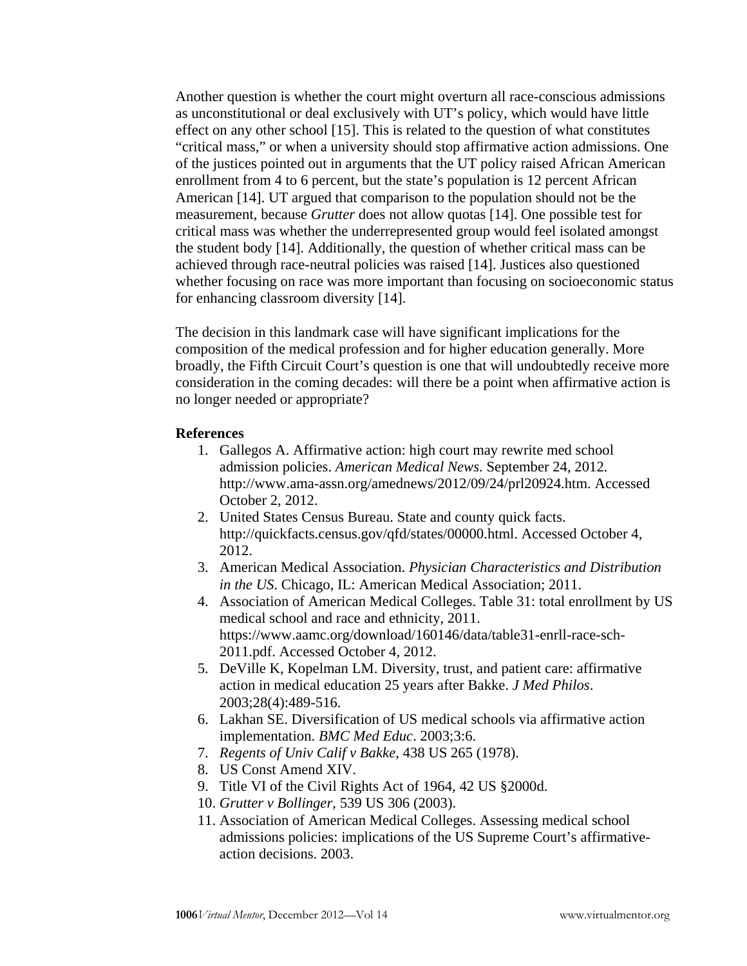Another question is whether the court might overturn all race-conscious admissions as unconstitutional or deal exclusively with UT's policy, which would have little effect on any other school [15]. This is related to the question of what constitutes "critical mass," or when a university should stop affirmative action admissions. One of the justices pointed out in arguments that the UT policy raised African American enrollment from 4 to 6 percent, but the state's population is 12 percent African American [14]. UT argued that comparison to the population should not be the measurement, because *Grutter* does not allow quotas [14]. One possible test for critical mass was whether the underrepresented group would feel isolated amongst the student body [14]. Additionally, the question of whether critical mass can be achieved through race-neutral policies was raised [14]. Justices also questioned whether focusing on race was more important than focusing on socioeconomic status for enhancing classroom diversity [14].

The decision in this landmark case will have significant implications for the composition of the medical profession and for higher education generally. More broadly, the Fifth Circuit Court's question is one that will undoubtedly receive more consideration in the coming decades: will there be a point when affirmative action is no longer needed or appropriate?

## **References**

- 1. Gallegos A. Affirmative action: high court may rewrite med school admission policies. *American Medical News*. September 24, 2012. http://www.ama-assn.org/amednews/2012/09/24/prl20924.htm. Accessed October 2, 2012.
- 2. United States Census Bureau. State and county quick facts. http://quickfacts.census.gov/qfd/states/00000.html. Accessed October 4, 2012.
- 3. American Medical Association. *Physician Characteristics and Distribution in the US*. Chicago, IL: American Medical Association; 2011.
- 4. Association of American Medical Colleges. Table 31: total enrollment by US medical school and race and ethnicity, 2011. https://www.aamc.org/download/160146/data/table31-enrll-race-sch-2011.pdf. Accessed October 4, 2012.
- 5. DeVille K, Kopelman LM. Diversity, trust, and patient care: affirmative action in medical education 25 years after Bakke. *J Med Philos*. 2003;28(4):489-516.
- 6. Lakhan SE. Diversification of US medical schools via affirmative action implementation. *BMC Med Educ*. 2003;3:6.
- 7. *Regents of Univ Calif v Bakke*, 438 US 265 (1978).
- 8. US Const Amend XIV.
- 9. Title VI of the Civil Rights Act of 1964, 42 US §2000d.
- 10. *Grutter v Bollinger*, 539 US 306 (2003).
- 11. Association of American Medical Colleges. Assessing medical school admissions policies: implications of the US Supreme Court's affirmativeaction decisions. 2003.